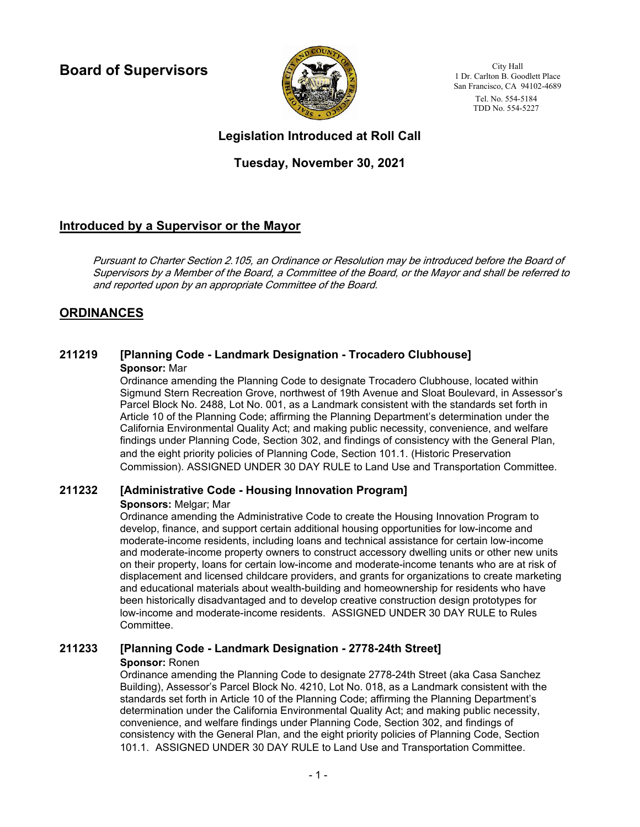**Board of Supervisors**



City Hall 1 Dr. Carlton B. Goodlett Place San Francisco, CA 94102-4689 Tel. No. 554-5184 TDD No. 554-5227

# **Legislation Introduced at Roll Call**

# **Tuesday, November 30, 2021**

# **Introduced by a Supervisor or the Mayor**

Pursuant to Charter Section 2.105, an Ordinance or Resolution may be introduced before the Board of Supervisors by a Member of the Board, a Committee of the Board, or the Mayor and shall be referred to and reported upon by an appropriate Committee of the Board.

# **ORDINANCES**

### **211219 [Planning Code - Landmark Designation - Trocadero Clubhouse] Sponsor:** Mar

Ordinance amending the Planning Code to designate Trocadero Clubhouse, located within Sigmund Stern Recreation Grove, northwest of 19th Avenue and Sloat Boulevard, in Assessor's Parcel Block No. 2488, Lot No. 001, as a Landmark consistent with the standards set forth in Article 10 of the Planning Code; affirming the Planning Department's determination under the California Environmental Quality Act; and making public necessity, convenience, and welfare findings under Planning Code, Section 302, and findings of consistency with the General Plan, and the eight priority policies of Planning Code, Section 101.1. (Historic Preservation Commission). ASSIGNED UNDER 30 DAY RULE to Land Use and Transportation Committee.

## **211232 [Administrative Code - Housing Innovation Program]**

### **Sponsors:** Melgar; Mar

Ordinance amending the Administrative Code to create the Housing Innovation Program to develop, finance, and support certain additional housing opportunities for low-income and moderate-income residents, including loans and technical assistance for certain low-income and moderate-income property owners to construct accessory dwelling units or other new units on their property, loans for certain low-income and moderate-income tenants who are at risk of displacement and licensed childcare providers, and grants for organizations to create marketing and educational materials about wealth-building and homeownership for residents who have been historically disadvantaged and to develop creative construction design prototypes for low-income and moderate-income residents. ASSIGNED UNDER 30 DAY RULE to Rules Committee.

### **211233 [Planning Code - Landmark Designation - 2778-24th Street] Sponsor:** Ronen

Ordinance amending the Planning Code to designate 2778-24th Street (aka Casa Sanchez Building), Assessor's Parcel Block No. 4210, Lot No. 018, as a Landmark consistent with the standards set forth in Article 10 of the Planning Code; affirming the Planning Department's determination under the California Environmental Quality Act; and making public necessity, convenience, and welfare findings under Planning Code, Section 302, and findings of consistency with the General Plan, and the eight priority policies of Planning Code, Section 101.1. ASSIGNED UNDER 30 DAY RULE to Land Use and Transportation Committee.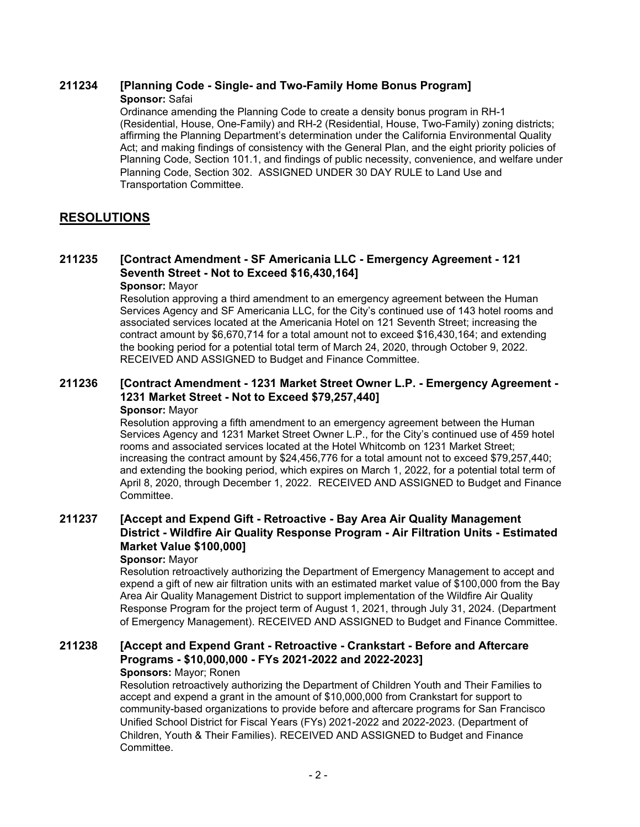### **211234 [Planning Code - Single- and Two-Family Home Bonus Program] Sponsor:** Safai

Ordinance amending the Planning Code to create a density bonus program in RH-1 (Residential, House, One-Family) and RH-2 (Residential, House, Two-Family) zoning districts; affirming the Planning Department's determination under the California Environmental Quality Act; and making findings of consistency with the General Plan, and the eight priority policies of Planning Code, Section 101.1, and findings of public necessity, convenience, and welfare under Planning Code, Section 302. ASSIGNED UNDER 30 DAY RULE to Land Use and Transportation Committee.

# **RESOLUTIONS**

#### **[Contract Amendment - SF Americania LLC - Emergency Agreement - 121 Seventh Street - Not to Exceed \$16,430,164] 211235 Sponsor:** Mayor

Resolution approving a third amendment to an emergency agreement between the Human Services Agency and SF Americania LLC, for the City's continued use of 143 hotel rooms and associated services located at the Americania Hotel on 121 Seventh Street; increasing the contract amount by \$6,670,714 for a total amount not to exceed \$16,430,164; and extending the booking period for a potential total term of March 24, 2020, through October 9, 2022. RECEIVED AND ASSIGNED to Budget and Finance Committee.

#### **[Contract Amendment - 1231 Market Street Owner L.P. - Emergency Agreement - 1231 Market Street - Not to Exceed \$79,257,440] 211236 Sponsor:** Mayor

Resolution approving a fifth amendment to an emergency agreement between the Human Services Agency and 1231 Market Street Owner L.P., for the City's continued use of 459 hotel rooms and associated services located at the Hotel Whitcomb on 1231 Market Street; increasing the contract amount by \$24,456,776 for a total amount not to exceed \$79,257,440; and extending the booking period, which expires on March 1, 2022, for a potential total term of April 8, 2020, through December 1, 2022. RECEIVED AND ASSIGNED to Budget and Finance Committee.

### **[Accept and Expend Gift - Retroactive - Bay Area Air Quality Management District - Wildfire Air Quality Response Program - Air Filtration Units - Estimated Market Value \$100,000] 211237**

### **Sponsor:** Mayor

Resolution retroactively authorizing the Department of Emergency Management to accept and expend a gift of new air filtration units with an estimated market value of \$100,000 from the Bay Area Air Quality Management District to support implementation of the Wildfire Air Quality Response Program for the project term of August 1, 2021, through July 31, 2024. (Department of Emergency Management). RECEIVED AND ASSIGNED to Budget and Finance Committee.

#### **[Accept and Expend Grant - Retroactive - Crankstart - Before and Aftercare Programs - \$10,000,000 - FYs 2021-2022 and 2022-2023] 211238**

### **Sponsors:** Mayor; Ronen

Resolution retroactively authorizing the Department of Children Youth and Their Families to accept and expend a grant in the amount of \$10,000,000 from Crankstart for support to community-based organizations to provide before and aftercare programs for San Francisco Unified School District for Fiscal Years (FYs) 2021-2022 and 2022-2023. (Department of Children, Youth & Their Families). RECEIVED AND ASSIGNED to Budget and Finance Committee.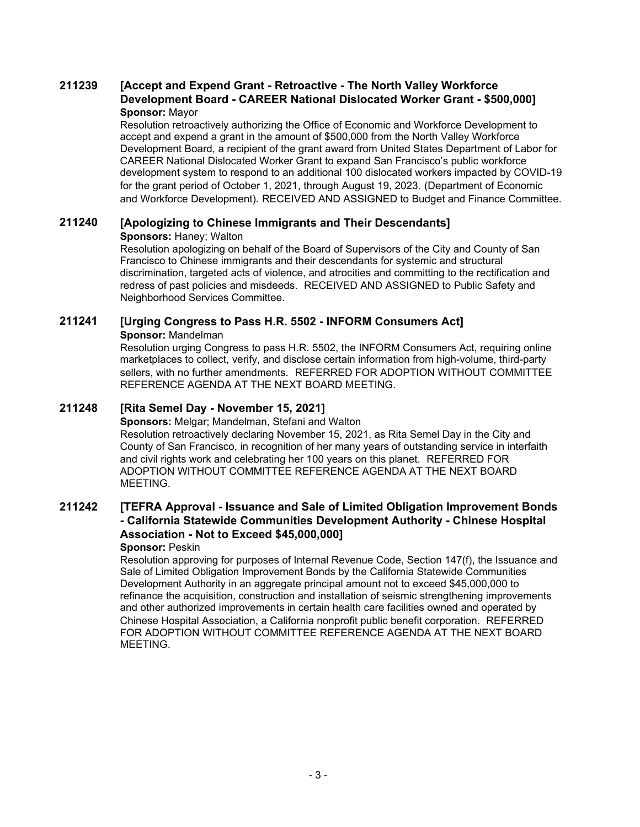#### **[Accept and Expend Grant - Retroactive - The North Valley Workforce Development Board - CAREER National Dislocated Worker Grant - \$500,000] 211239 Sponsor:** Mayor

Resolution retroactively authorizing the Office of Economic and Workforce Development to accept and expend a grant in the amount of \$500,000 from the North Valley Workforce Development Board, a recipient of the grant award from United States Department of Labor for CAREER National Dislocated Worker Grant to expand San Francisco's public workforce development system to respond to an additional 100 dislocated workers impacted by COVID-19 for the grant period of October 1, 2021, through August 19, 2023. (Department of Economic and Workforce Development). RECEIVED AND ASSIGNED to Budget and Finance Committee.

# **211240 [Apologizing to Chinese Immigrants and Their Descendants]**

**Sponsors:** Haney; Walton

Resolution apologizing on behalf of the Board of Supervisors of the City and County of San Francisco to Chinese immigrants and their descendants for systemic and structural discrimination, targeted acts of violence, and atrocities and committing to the rectification and redress of past policies and misdeeds. RECEIVED AND ASSIGNED to Public Safety and Neighborhood Services Committee.

### **211241 [Urging Congress to Pass H.R. 5502 - INFORM Consumers Act] Sponsor:** Mandelman

Resolution urging Congress to pass H.R. 5502, the INFORM Consumers Act, requiring online marketplaces to collect, verify, and disclose certain information from high-volume, third-party sellers, with no further amendments. REFERRED FOR ADOPTION WITHOUT COMMITTEE REFERENCE AGENDA AT THE NEXT BOARD MEETING.

## **211248 [Rita Semel Day - November 15, 2021]**

**Sponsors:** Melgar; Mandelman, Stefani and Walton Resolution retroactively declaring November 15, 2021, as Rita Semel Day in the City and County of San Francisco, in recognition of her many years of outstanding service in interfaith and civil rights work and celebrating her 100 years on this planet. REFERRED FOR ADOPTION WITHOUT COMMITTEE REFERENCE AGENDA AT THE NEXT BOARD MEETING.

### **[TEFRA Approval - Issuance and Sale of Limited Obligation Improvement Bonds - California Statewide Communities Development Authority - Chinese Hospital Association - Not to Exceed \$45,000,000] 211242**

### **Sponsor:** Peskin

Resolution approving for purposes of Internal Revenue Code, Section 147(f), the Issuance and Sale of Limited Obligation Improvement Bonds by the California Statewide Communities Development Authority in an aggregate principal amount not to exceed \$45,000,000 to refinance the acquisition, construction and installation of seismic strengthening improvements and other authorized improvements in certain health care facilities owned and operated by Chinese Hospital Association, a California nonprofit public benefit corporation. REFERRED FOR ADOPTION WITHOUT COMMITTEE REFERENCE AGENDA AT THE NEXT BOARD MEETING.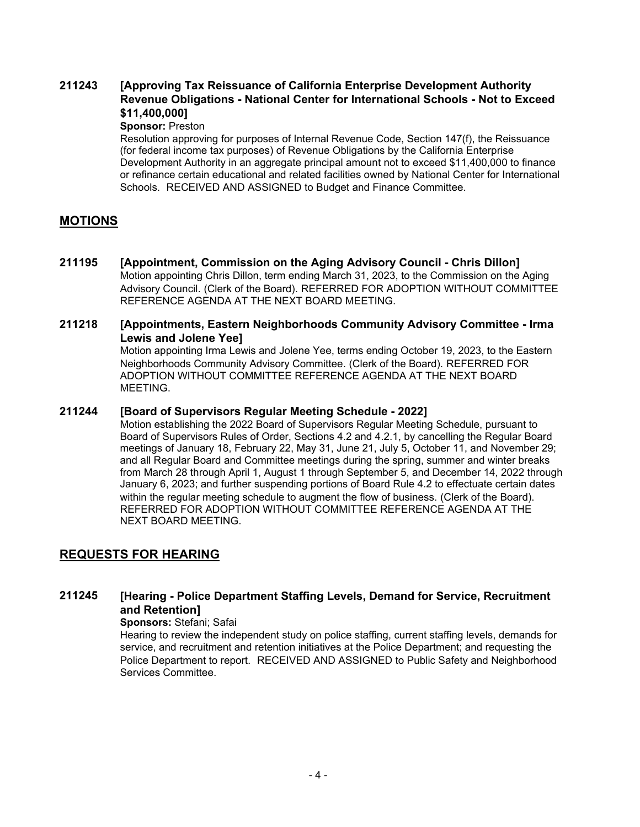### **[Approving Tax Reissuance of California Enterprise Development Authority Revenue Obligations - National Center for International Schools - Not to Exceed \$11,400,000] 211243**

### **Sponsor:** Preston

Resolution approving for purposes of Internal Revenue Code, Section 147(f), the Reissuance (for federal income tax purposes) of Revenue Obligations by the California Enterprise Development Authority in an aggregate principal amount not to exceed \$11,400,000 to finance or refinance certain educational and related facilities owned by National Center for International Schools. RECEIVED AND ASSIGNED to Budget and Finance Committee.

## **MOTIONS**

**211195 [Appointment, Commission on the Aging Advisory Council - Chris Dillon]** Motion appointing Chris Dillon, term ending March 31, 2023, to the Commission on the Aging Advisory Council. (Clerk of the Board). REFERRED FOR ADOPTION WITHOUT COMMITTEE REFERENCE AGENDA AT THE NEXT BOARD MEETING.

#### **[Appointments, Eastern Neighborhoods Community Advisory Committee - Irma Lewis and Jolene Yee] 211218**

Motion appointing Irma Lewis and Jolene Yee, terms ending October 19, 2023, to the Eastern Neighborhoods Community Advisory Committee. (Clerk of the Board). REFERRED FOR ADOPTION WITHOUT COMMITTEE REFERENCE AGENDA AT THE NEXT BOARD MEETING.

### **211244 [Board of Supervisors Regular Meeting Schedule - 2022]**

Motion establishing the 2022 Board of Supervisors Regular Meeting Schedule, pursuant to Board of Supervisors Rules of Order, Sections 4.2 and 4.2.1, by cancelling the Regular Board meetings of January 18, February 22, May 31, June 21, July 5, October 11, and November 29; and all Regular Board and Committee meetings during the spring, summer and winter breaks from March 28 through April 1, August 1 through September 5, and December 14, 2022 through January 6, 2023; and further suspending portions of Board Rule 4.2 to effectuate certain dates within the regular meeting schedule to augment the flow of business. (Clerk of the Board). REFERRED FOR ADOPTION WITHOUT COMMITTEE REFERENCE AGENDA AT THE NEXT BOARD MEETING.

## **REQUESTS FOR HEARING**

#### **[Hearing - Police Department Staffing Levels, Demand for Service, Recruitment and Retention] 211245**

### **Sponsors:** Stefani; Safai

Hearing to review the independent study on police staffing, current staffing levels, demands for service, and recruitment and retention initiatives at the Police Department; and requesting the Police Department to report. RECEIVED AND ASSIGNED to Public Safety and Neighborhood Services Committee.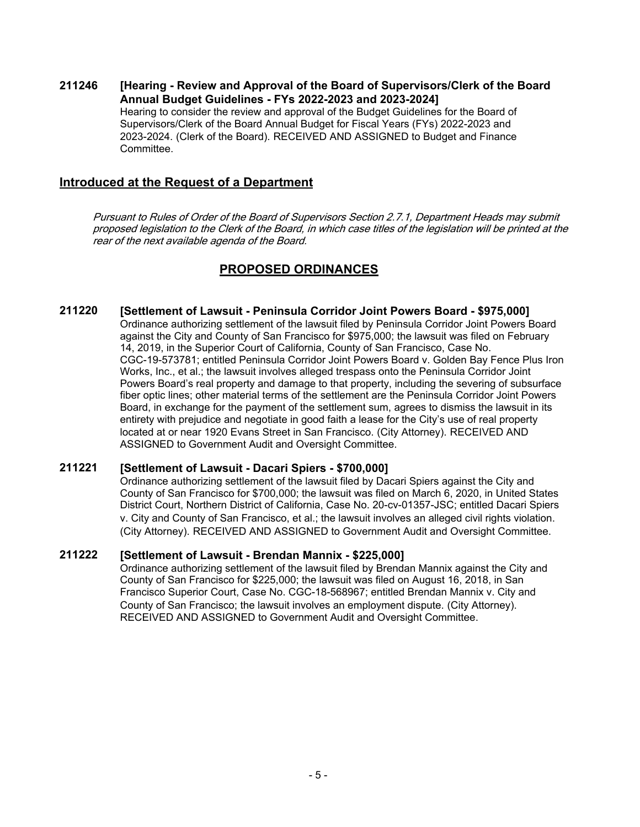**[Hearing - Review and Approval of the Board of Supervisors/Clerk of the Board Annual Budget Guidelines - FYs 2022-2023 and 2023-2024] 211246** Hearing to consider the review and approval of the Budget Guidelines for the Board of Supervisors/Clerk of the Board Annual Budget for Fiscal Years (FYs) 2022-2023 and 2023-2024. (Clerk of the Board). RECEIVED AND ASSIGNED to Budget and Finance Committee.

### **Introduced at the Request of a Department**

Pursuant to Rules of Order of the Board of Supervisors Section 2.7.1, Department Heads may submit proposed legislation to the Clerk of the Board, in which case titles of the legislation will be printed at the rear of the next available agenda of the Board.

# **PROPOSED ORDINANCES**

### **211220 [Settlement of Lawsuit - Peninsula Corridor Joint Powers Board - \$975,000]** Ordinance authorizing settlement of the lawsuit filed by Peninsula Corridor Joint Powers Board

against the City and County of San Francisco for \$975,000; the lawsuit was filed on February 14, 2019, in the Superior Court of California, County of San Francisco, Case No. CGC-19-573781; entitled Peninsula Corridor Joint Powers Board v. Golden Bay Fence Plus Iron Works, Inc., et al.; the lawsuit involves alleged trespass onto the Peninsula Corridor Joint Powers Board's real property and damage to that property, including the severing of subsurface fiber optic lines; other material terms of the settlement are the Peninsula Corridor Joint Powers Board, in exchange for the payment of the settlement sum, agrees to dismiss the lawsuit in its entirety with prejudice and negotiate in good faith a lease for the City's use of real property located at or near 1920 Evans Street in San Francisco. (City Attorney). RECEIVED AND ASSIGNED to Government Audit and Oversight Committee.

### **211221 [Settlement of Lawsuit - Dacari Spiers - \$700,000]**

Ordinance authorizing settlement of the lawsuit filed by Dacari Spiers against the City and County of San Francisco for \$700,000; the lawsuit was filed on March 6, 2020, in United States District Court, Northern District of California, Case No. 20-cv-01357-JSC; entitled Dacari Spiers v. City and County of San Francisco, et al.; the lawsuit involves an alleged civil rights violation. (City Attorney). RECEIVED AND ASSIGNED to Government Audit and Oversight Committee.

### **211222 [Settlement of Lawsuit - Brendan Mannix - \$225,000]**

Ordinance authorizing settlement of the lawsuit filed by Brendan Mannix against the City and County of San Francisco for \$225,000; the lawsuit was filed on August 16, 2018, in San Francisco Superior Court, Case No. CGC-18-568967; entitled Brendan Mannix v. City and County of San Francisco; the lawsuit involves an employment dispute. (City Attorney). RECEIVED AND ASSIGNED to Government Audit and Oversight Committee.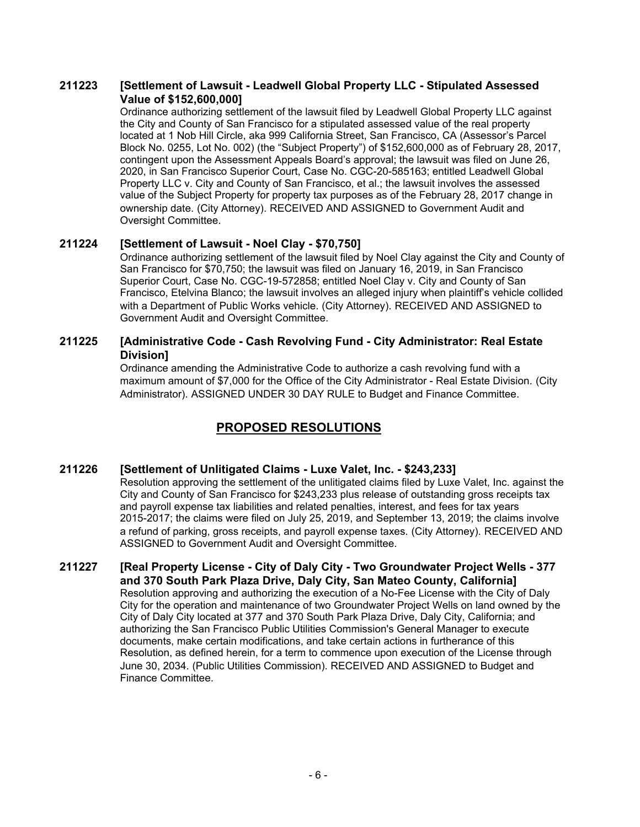#### **[Settlement of Lawsuit - Leadwell Global Property LLC - Stipulated Assessed Value of \$152,600,000] 211223**

Ordinance authorizing settlement of the lawsuit filed by Leadwell Global Property LLC against the City and County of San Francisco for a stipulated assessed value of the real property located at 1 Nob Hill Circle, aka 999 California Street, San Francisco, CA (Assessor's Parcel Block No. 0255, Lot No. 002) (the "Subject Property") of \$152,600,000 as of February 28, 2017, contingent upon the Assessment Appeals Board's approval; the lawsuit was filed on June 26, 2020, in San Francisco Superior Court, Case No. CGC-20-585163; entitled Leadwell Global Property LLC v. City and County of San Francisco, et al.; the lawsuit involves the assessed value of the Subject Property for property tax purposes as of the February 28, 2017 change in ownership date. (City Attorney). RECEIVED AND ASSIGNED to Government Audit and Oversight Committee.

### **211224 [Settlement of Lawsuit - Noel Clay - \$70,750]**

Ordinance authorizing settlement of the lawsuit filed by Noel Clay against the City and County of San Francisco for \$70,750; the lawsuit was filed on January 16, 2019, in San Francisco Superior Court, Case No. CGC-19-572858; entitled Noel Clay v. City and County of San Francisco, Etelvina Blanco; the lawsuit involves an alleged injury when plaintiff's vehicle collided with a Department of Public Works vehicle. (City Attorney). RECEIVED AND ASSIGNED to Government Audit and Oversight Committee.

#### **[Administrative Code - Cash Revolving Fund - City Administrator: Real Estate Division] 211225**

Ordinance amending the Administrative Code to authorize a cash revolving fund with a maximum amount of \$7,000 for the Office of the City Administrator - Real Estate Division. (City Administrator). ASSIGNED UNDER 30 DAY RULE to Budget and Finance Committee.

# **PROPOSED RESOLUTIONS**

### **211226 [Settlement of Unlitigated Claims - Luxe Valet, Inc. - \$243,233]**

Resolution approving the settlement of the unlitigated claims filed by Luxe Valet, Inc. against the City and County of San Francisco for \$243,233 plus release of outstanding gross receipts tax and payroll expense tax liabilities and related penalties, interest, and fees for tax years 2015-2017; the claims were filed on July 25, 2019, and September 13, 2019; the claims involve a refund of parking, gross receipts, and payroll expense taxes. (City Attorney). RECEIVED AND ASSIGNED to Government Audit and Oversight Committee.

**[Real Property License - City of Daly City - Two Groundwater Project Wells - 377 and 370 South Park Plaza Drive, Daly City, San Mateo County, California] 211227** Resolution approving and authorizing the execution of a No-Fee License with the City of Daly City for the operation and maintenance of two Groundwater Project Wells on land owned by the City of Daly City located at 377 and 370 South Park Plaza Drive, Daly City, California; and authorizing the San Francisco Public Utilities Commission's General Manager to execute documents, make certain modifications, and take certain actions in furtherance of this Resolution, as defined herein, for a term to commence upon execution of the License through June 30, 2034. (Public Utilities Commission). RECEIVED AND ASSIGNED to Budget and Finance Committee.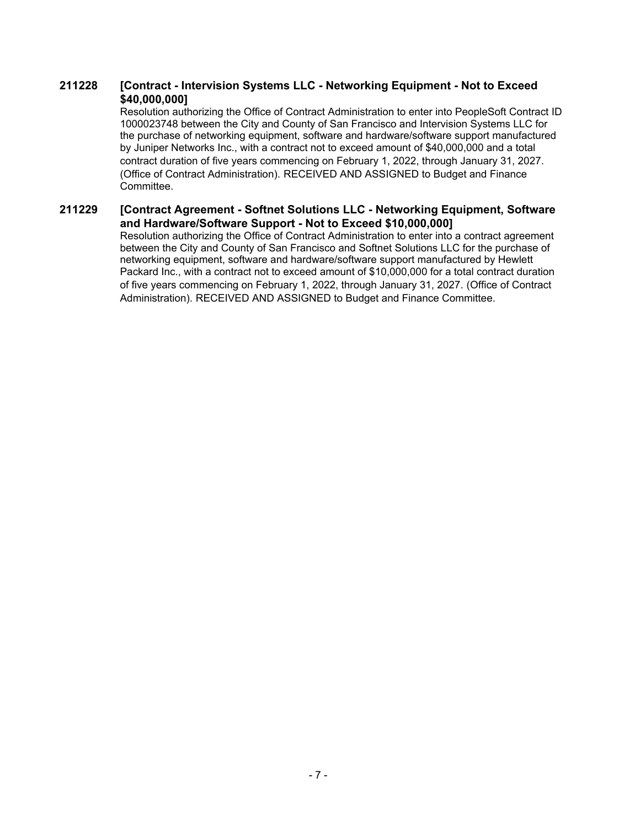#### **[Contract - Intervision Systems LLC - Networking Equipment - Not to Exceed \$40,000,000] 211228**

Resolution authorizing the Office of Contract Administration to enter into PeopleSoft Contract ID 1000023748 between the City and County of San Francisco and Intervision Systems LLC for the purchase of networking equipment, software and hardware/software support manufactured by Juniper Networks Inc., with a contract not to exceed amount of \$40,000,000 and a total contract duration of five years commencing on February 1, 2022, through January 31, 2027. (Office of Contract Administration). RECEIVED AND ASSIGNED to Budget and Finance Committee.

#### **[Contract Agreement - Softnet Solutions LLC - Networking Equipment, Software and Hardware/Software Support - Not to Exceed \$10,000,000] 211229**

Resolution authorizing the Office of Contract Administration to enter into a contract agreement between the City and County of San Francisco and Softnet Solutions LLC for the purchase of networking equipment, software and hardware/software support manufactured by Hewlett Packard Inc., with a contract not to exceed amount of \$10,000,000 for a total contract duration of five years commencing on February 1, 2022, through January 31, 2027. (Office of Contract Administration). RECEIVED AND ASSIGNED to Budget and Finance Committee.